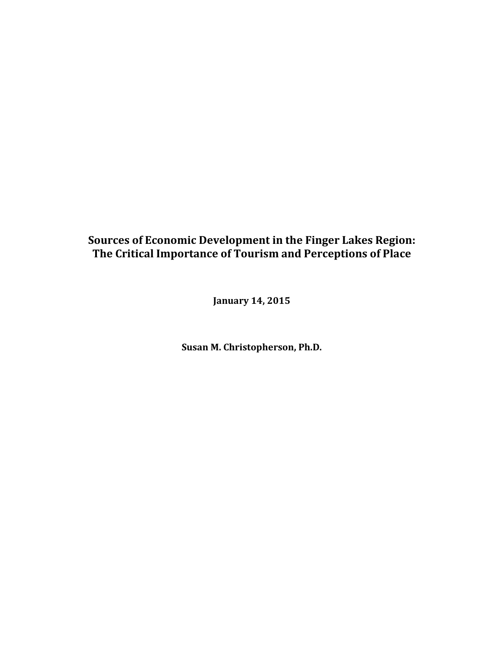## Sources of Economic Development in the Finger Lakes Region: The Critical Importance of Tourism and Perceptions of Place

**January 14, 2015** 

**Susan M. Christopherson, Ph.D.**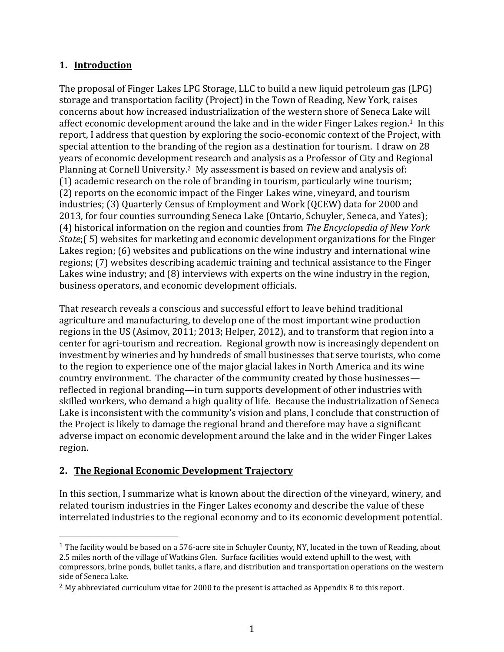## **1. Introduction**

The proposal of Finger Lakes LPG Storage, LLC to build a new liquid petroleum gas (LPG) storage and transportation facility (Project) in the Town of Reading, New York, raises concerns about how increased industrialization of the western shore of Seneca Lake will affect economic development around the lake and in the wider Finger Lakes region.<sup>1</sup> In this report, I address that question by exploring the socio-economic context of the Project, with special attention to the branding of the region as a destination for tourism. I draw on 28 years of economic development research and analysis as a Professor of City and Regional Planning at Cornell University.<sup>2</sup> My assessment is based on review and analysis of:  $(1)$  academic research on the role of branding in tourism, particularly wine tourism; (2) reports on the economic impact of the Finger Lakes wine, vineyard, and tourism industries; (3) Quarterly Census of Employment and Work (QCEW) data for 2000 and 2013, for four counties surrounding Seneca Lake (Ontario, Schuyler, Seneca, and Yates); (4) historical information on the region and counties from *The Encyclopedia of New York State*;(5) websites for marketing and economic development organizations for the Finger Lakes region; (6) websites and publications on the wine industry and international wine regions; (7) websites describing academic training and technical assistance to the Finger Lakes wine industry; and  $(8)$  interviews with experts on the wine industry in the region, business operators, and economic development officials.

That research reveals a conscious and successful effort to leave behind traditional agriculture and manufacturing, to develop one of the most important wine production regions in the US (Asimov, 2011; 2013; Helper, 2012), and to transform that region into a center for agri-tourism and recreation. Regional growth now is increasingly dependent on investment by wineries and by hundreds of small businesses that serve tourists, who come to the region to experience one of the major glacial lakes in North America and its wine country environment. The character of the community created by those businesses reflected in regional branding—in turn supports development of other industries with skilled workers, who demand a high quality of life. Because the industrialization of Seneca Lake is inconsistent with the community's vision and plans, I conclude that construction of the Project is likely to damage the regional brand and therefore may have a significant adverse impact on economic development around the lake and in the wider Finger Lakes region.

## 2. The Regional Economic Development Trajectory

!!!!!!!!!!!!!!!!!!!!!!!!!!!!!!!!!!!!!!!!!!!!!!!!!!!!!!!

In this section, I summarize what is known about the direction of the vineyard, winery, and related tourism industries in the Finger Lakes economy and describe the value of these interrelated industries to the regional economy and to its economic development potential.

<sup>&</sup>lt;sup>1</sup> The facility would be based on a 576-acre site in Schuyler County, NY, located in the town of Reading, about 2.5 miles north of the village of Watkins Glen. Surface facilities would extend uphill to the west, with compressors, brine ponds, bullet tanks, a flare, and distribution and transportation operations on the western side of Seneca Lake.

 $2$  My abbreviated curriculum vitae for 2000 to the present is attached as Appendix B to this report.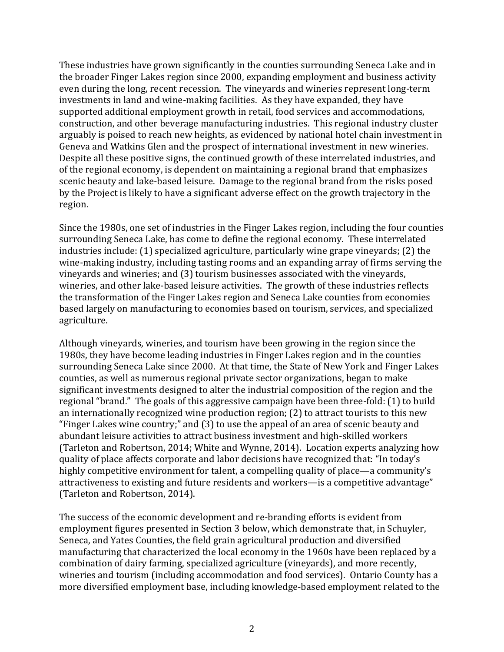These industries have grown significantly in the counties surrounding Seneca Lake and in the broader Finger Lakes region since 2000, expanding employment and business activity even during the long, recent recession. The vineyards and wineries represent long-term investments in land and wine-making facilities. As they have expanded, they have supported additional employment growth in retail, food services and accommodations, construction, and other beverage manufacturing industries. This regional industry cluster arguably is poised to reach new heights, as evidenced by national hotel chain investment in Geneva and Watkins Glen and the prospect of international investment in new wineries. Despite all these positive signs, the continued growth of these interrelated industries, and of the regional economy, is dependent on maintaining a regional brand that emphasizes scenic beauty and lake-based leisure. Damage to the regional brand from the risks posed by the Project is likely to have a significant adverse effect on the growth trajectory in the region.

Since the 1980s, one set of industries in the Finger Lakes region, including the four counties surrounding Seneca Lake, has come to define the regional economy. These interrelated industries include: (1) specialized agriculture, particularly wine grape vineyards; (2) the wine-making industry, including tasting rooms and an expanding array of firms serving the vineyards and wineries; and (3) tourism businesses associated with the vineyards, wineries, and other lake-based leisure activities. The growth of these industries reflects the transformation of the Finger Lakes region and Seneca Lake counties from economies based largely on manufacturing to economies based on tourism, services, and specialized agriculture.

Although vineyards, wineries, and tourism have been growing in the region since the 1980s, they have become leading industries in Finger Lakes region and in the counties surrounding Seneca Lake since 2000. At that time, the State of New York and Finger Lakes counties, as well as numerous regional private sector organizations, began to make significant investments designed to alter the industrial composition of the region and the regional "brand." The goals of this aggressive campaign have been three-fold: (1) to build an internationally recognized wine production region; (2) to attract tourists to this new "Finger Lakes wine country;" and (3) to use the appeal of an area of scenic beauty and abundant leisure activities to attract business investment and high-skilled workers (Tarleton and Robertson, 2014; White and Wynne, 2014). Location experts analyzing how quality of place affects corporate and labor decisions have recognized that: "In today's highly competitive environment for talent, a compelling quality of place—a community's attractiveness to existing and future residents and workers-is a competitive advantage" (Tarleton and Robertson, 2014).

The success of the economic development and re-branding efforts is evident from employment figures presented in Section 3 below, which demonstrate that, in Schuyler, Seneca, and Yates Counties, the field grain agricultural production and diversified manufacturing that characterized the local economy in the 1960s have been replaced by a combination of dairy farming, specialized agriculture (vineyards), and more recently, wineries and tourism (including accommodation and food services). Ontario County has a more diversified employment base, including knowledge-based employment related to the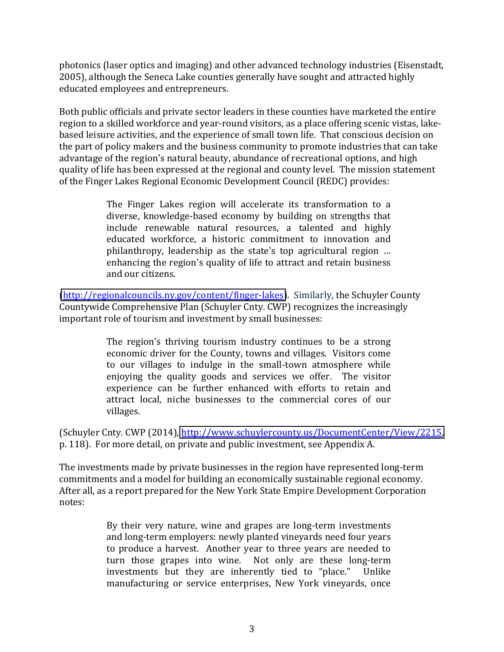photonics (laser optics and imaging) and other advanced technology industries (Eisenstadt, 2005), although the Seneca Lake counties generally have sought and attracted highly educated employees and entrepreneurs.

Both public officials and private sector leaders in these counties have marketed the entire region to a skilled workforce and year-round visitors, as a place offering scenic vistas, lakebased leisure activities, and the experience of small town life. That conscious decision on the part of policy makers and the business community to promote industries that can take advantage of the region's natural beauty, abundance of recreational options, and high quality of life has been expressed at the regional and county level. The mission statement of the Finger Lakes Regional Economic Development Council (REDC) provides:

> The Finger Lakes region will accelerate its transformation to a diverse, knowledge-based economy by building on strengths that include renewable natural resources, a talented and highly educated workforce, a historic commitment to innovation and philanthropy, leadership as the state's top agricultural region ... enhancing the region's quality of life to attract and retain business and our citizens.

(http://regionalcouncils.ny.gov/content/finger-lakes). Similarly, the Schuyler County Countywide Comprehensive Plan (Schuyler Cnty. CWP) recognizes the increasingly important role of tourism and investment by small businesses:

> The region's thriving tourism industry continues to be a strong economic driver for the County, towns and villages. Visitors come to our villages to indulge in the small-town atmosphere while enjoying the quality goods and services we offer. The visitor experience can be further enhanced with efforts to retain and attract local, niche businesses to the commercial cores of our villages.

(Schuyler Cnty. CWP (2014), http://www.schuylercounty.us/DocumentCenter/View/2215, p. 118). For more detail, on private and public investment, see Appendix A.

The investments made by private businesses in the region have represented long-term commitments and a model for building an economically sustainable regional economy. After all, as a report prepared for the New York State Empire Development Corporation notes:

> By their very nature, wine and grapes are long-term investments and long-term employers: newly planted vineyards need four years to produce a harvest. Another year to three years are needed to turn those grapes into wine. Not only are these long-term investments but they are inherently tied to "place." Unlike manufacturing or service enterprises, New York vineyards, once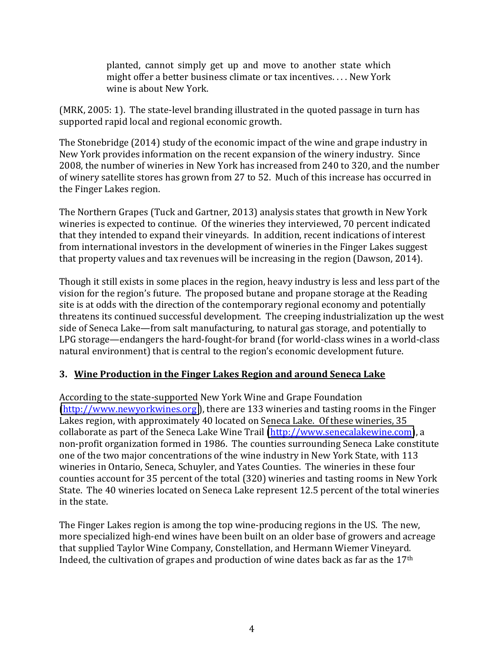planted, cannot simply get up and move to another state which might offer a better business climate or tax incentives.... New York wine is about New York.

(MRK, 2005: 1). The state-level branding illustrated in the quoted passage in turn has supported rapid local and regional economic growth.

The Stonebridge (2014) study of the economic impact of the wine and grape industry in  $\Gamma$ New York provides information on the recent expansion of the winery industry. Since 2008, the number of wineries in New York has increased from 240 to 320, and the number of winery satellite stores has grown from 27 to 52. Much of this increase has occurred in the Finger Lakes region.

The Northern Grapes (Tuck and Gartner, 2013) analysis states that growth in New York wineries is expected to continue. Of the wineries they interviewed, 70 percent indicated that they intended to expand their vineyards. In addition, recent indications of interest from international investors in the development of wineries in the Finger Lakes suggest that property values and tax revenues will be increasing in the region (Dawson, 2014).

Though it still exists in some places in the region, heavy industry is less and less part of the vision for the region's future. The proposed butane and propane storage at the Reading site is at odds with the direction of the contemporary regional economy and potentially threatens its continued successful development. The creeping industrialization up the west side of Seneca Lake—from salt manufacturing, to natural gas storage, and potentially to LPG storage—endangers the hard-fought-for brand (for world-class wines in a world-class natural environment) that is central to the region's economic development future.

### **3. Wine Production in the Finger Lakes Region and around Seneca Lake**

According to the state-supported New York Wine and Grape Foundation [\(http://www.newyorkwines.org](http://www.newyorkwines.org/)), there are 133 wineries and tasting rooms in the Finger Lakes region, with approximately 40 located on Seneca Lake. Of these wineries, 35 collaborate as part of the Seneca Lake Wine Trail [\(http://www.senecalakewine.com\)](http://www.senecalakewine.com/), a non-profit organization formed in 1986. The counties surrounding Seneca Lake constitute one of the two major concentrations of the wine industry in New York State, with 113 wineries in Ontario, Seneca, Schuyler, and Yates Counties. The wineries in these four counties account for 35 percent of the total (320) wineries and tasting rooms in New York State. The 40 wineries located on Seneca Lake represent 12.5 percent of the total wineries in the state.

The Finger Lakes region is among the top wine-producing regions in the US. The new, more specialized high-end wines have been built on an older base of growers and acreage that supplied Taylor Wine Company, Constellation, and Hermann Wiemer Vineyard. Indeed, the cultivation of grapes and production of wine dates back as far as the  $17<sup>th</sup>$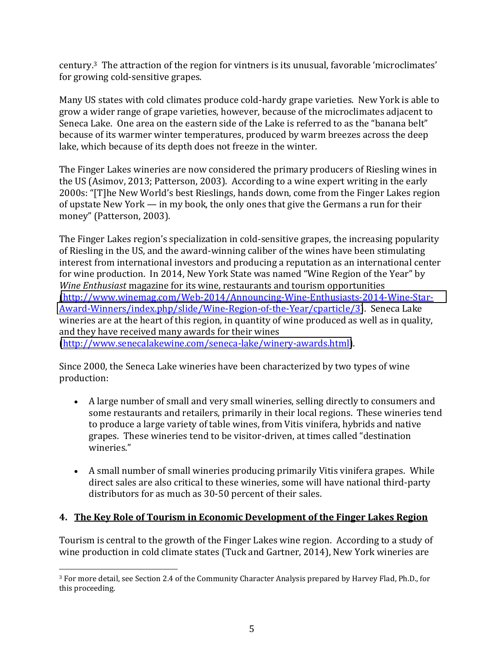century.<sup>3</sup> The attraction of the region for vintners is its unusual, favorable 'microclimates' for growing cold-sensitive grapes.

Many US states with cold climates produce cold-hardy grape varieties. New York is able to grow a wider range of grape varieties, however, because of the microclimates adjacent to Seneca Lake. One area on the eastern side of the Lake is referred to as the "banana belt" because of its warmer winter temperatures, produced by warm breezes across the deep lake, which because of its depth does not freeze in the winter.

The Finger Lakes wineries are now considered the primary producers of Riesling wines in the US (Asimov, 2013; Patterson, 2003). According to a wine expert writing in the early 2000s: "[T]he New World's best Rieslings, hands down, come from the Finger Lakes region of upstate  $New York$   $-$  in my book, the only ones that give the Germans a run for their money" (Patterson, 2003).

The Finger Lakes region's specialization in cold-sensitive grapes, the increasing popularity of Riesling in the US, and the award-winning caliber of the wines have been stimulating interest from international investors and producing a reputation as an international center for wine production. In 2014, New York State was named "Wine Region of the Year" by *Wine Enthusiast* magazine for its wine, restaurants and tourism opportunities (http://www.winemag.com/Web-2014/Announcing-Wine-Enthusiasts-2014-Wine-Star-Award-Winners/index.php/slide/Wine-Region-of-the-Year/cparticle/3). Seneca Lake wineries are at the heart of this region, in quantity of wine produced as well as in quality, and they have received many awards for their wines (http://www.senecalakewine.com/seneca-lake/winery-awards.html).

Since 2000, the Seneca Lake wineries have been characterized by two types of wine production:

- A large number of small and very small wineries, selling directly to consumers and some restaurants and retailers, primarily in their local regions. These wineries tend to produce a large variety of table wines, from Vitis vinifera, hybrids and native grapes. These wineries tend to be visitor-driven, at times called "destination" wineries."
- A small number of small wineries producing primarily Vitis vinifera grapes. While direct sales are also critical to these wineries, some will have national third-party distributors for as much as 30-50 percent of their sales.

## **4.** The Key Role of Tourism in Economic Development of the Finger Lakes Region

Tourism is central to the growth of the Finger Lakes wine region. According to a study of wine production in cold climate states (Tuck and Gartner, 2014), New York wineries are

!!!!!!!!!!!!!!!!!!!!!!!!!!!!!!!!!!!!!!!!!!!!!!!!!!!!!!!

<sup>&</sup>lt;sup>3</sup> For more detail, see Section 2.4 of the Community Character Analysis prepared by Harvey Flad, Ph.D., for this proceeding.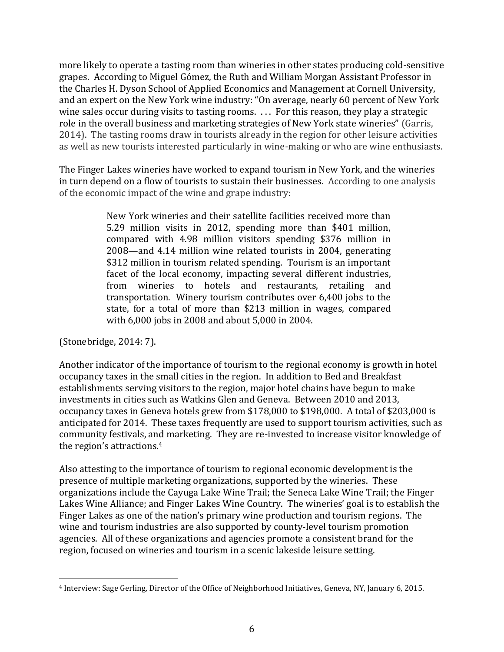more likely to operate a tasting room than wineries in other states producing cold-sensitive grapes. According to Miguel Gómez, the Ruth and William Morgan Assistant Professor in the Charles H. Dyson School of Applied Economics and Management at Cornell University, and an expert on the New York wine industry: "On average, nearly 60 percent of New York wine sales occur during visits to tasting rooms. ... For this reason, they play a strategic role in the overall business and marketing strategies of New York state wineries" (Garris, 2014). The tasting rooms draw in tourists already in the region for other leisure activities as well as new tourists interested particularly in wine-making or who are wine enthusiasts.

The Finger Lakes wineries have worked to expand tourism in New York, and the wineries in turn depend on a flow of tourists to sustain their businesses. According to one analysis of the economic impact of the wine and grape industry:

> New York wineries and their satellite facilities received more than 5.29 million visits in 2012, spending more than  $$401$  million, compared with 4.98 million visitors spending \$376 million in 2008—and 4.14 million wine related tourists in 2004, generating \$312 million in tourism related spending. Tourism is an important facet of the local economy, impacting several different industries, from wineries to hotels and restaurants, retailing and transportation. Winery tourism contributes over 6,400 jobs to the state, for a total of more than \$213 million in wages, compared with 6,000 jobs in 2008 and about 5,000 in 2004.

(Stonebridge, 2014: 7).

Another indicator of the importance of tourism to the regional economy is growth in hotel occupancy taxes in the small cities in the region. In addition to Bed and Breakfast establishments serving visitors to the region, major hotel chains have begun to make investments in cities such as Watkins Glen and Geneva. Between 2010 and 2013, occupancy taxes in Geneva hotels grew from \$178,000 to \$198,000. A total of \$203,000 is anticipated for 2014. These taxes frequently are used to support tourism activities, such as community festivals, and marketing. They are re-invested to increase visitor knowledge of the region's attractions.<sup>4</sup>

Also attesting to the importance of tourism to regional economic development is the presence of multiple marketing organizations, supported by the wineries. These organizations include the Cayuga Lake Wine Trail; the Seneca Lake Wine Trail; the Finger Lakes Wine Alliance; and Finger Lakes Wine Country. The wineries' goal is to establish the Finger Lakes as one of the nation's primary wine production and tourism regions. The wine and tourism industries are also supported by county-level tourism promotion agencies. All of these organizations and agencies promote a consistent brand for the region, focused on wineries and tourism in a scenic lakeside leisure setting.

<sup>!!!!!!!!!!!!!!!!!!!!!!!!!!!!!!!!!!!!!!!!!!!!!!!!!!!!!!!</sup> <sup>4</sup> Interview: Sage Gerling, Director of the Office of Neighborhood Initiatives, Geneva, NY, January 6, 2015.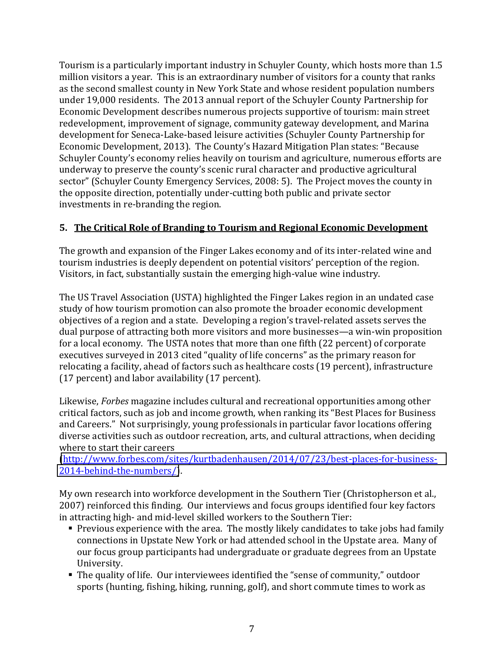Tourism is a particularly important industry in Schuyler County, which hosts more than 1.5 million visitors a year. This is an extraordinary number of visitors for a county that ranks as the second smallest county in New York State and whose resident population numbers under 19,000 residents. The 2013 annual report of the Schuyler County Partnership for Economic Development describes numerous projects supportive of tourism: main street redevelopment, improvement of signage, community gateway development, and Marina development for Seneca-Lake-based leisure activities (Schuyler County Partnership for Economic Development, 2013). The County's Hazard Mitigation Plan states: "Because Schuyler County's economy relies heavily on tourism and agriculture, numerous efforts are underway to preserve the county's scenic rural character and productive agricultural sector" (Schuyler County Emergency Services, 2008: 5). The Project moves the county in the opposite direction, potentially under-cutting both public and private sector investments in re-branding the region.

## **5. The Critical Role of Branding to Tourism and Regional Economic Development**

The growth and expansion of the Finger Lakes economy and of its inter-related wine and tourism industries is deeply dependent on potential visitors' perception of the region. Visitors, in fact, substantially sustain the emerging high-value wine industry.

The US Travel Association (USTA) highlighted the Finger Lakes region in an undated case study of how tourism promotion can also promote the broader economic development objectives of a region and a state. Developing a region's travel-related assets serves the dual purpose of attracting both more visitors and more businesses—a win-win proposition for a local economy. The USTA notes that more than one fifth (22 percent) of corporate executives surveyed in 2013 cited "quality of life concerns" as the primary reason for relocating a facility, ahead of factors such as healthcare costs (19 percent), infrastructure (17 percent) and labor availability (17 percent).

Likewise, *Forbes* magazine includes cultural and recreational opportunities among other critical factors, such as job and income growth, when ranking its "Best Places for Business" and Careers." Not surprisingly, young professionals in particular favor locations offering diverse activities such as outdoor recreation, arts, and cultural attractions, when deciding where to start their careers

(http://www.forbes.com/sites/kurtbadenhausen/2014/07/23/best-places-for-business-2014-behind-the-numbers/).

My own research into workforce development in the Southern Tier (Christopherson et al., 2007) reinforced this finding. Our interviews and focus groups identified four key factors in attracting high- and mid-level skilled workers to the Southern Tier:

- Previous experience with the area. The mostly likely candidates to take jobs had family connections in Upstate New York or had attended school in the Upstate area. Many of our focus group participants had undergraduate or graduate degrees from an Upstate University.
- The quality of life. Our interviewees identified the "sense of community," outdoor sports (hunting, fishing, hiking, running, golf), and short commute times to work as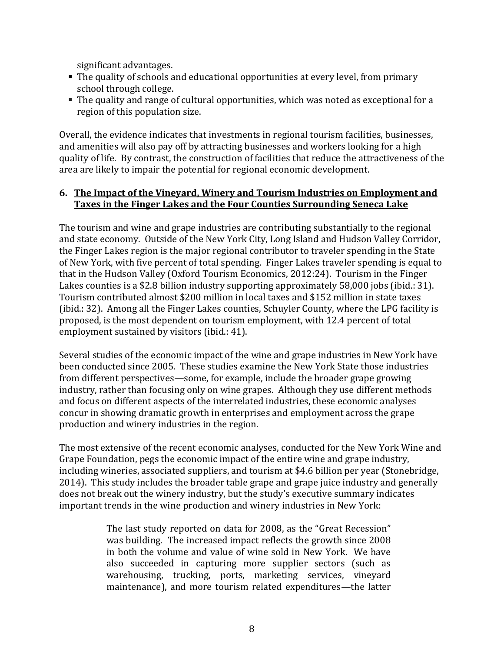significant advantages.

- The quality of schools and educational opportunities at every level, from primary school through college.
- The quality and range of cultural opportunities, which was noted as exceptional for a region of this population size.

Overall, the evidence indicates that investments in regional tourism facilities, businesses, and amenities will also pay off by attracting businesses and workers looking for a high quality of life. By contrast, the construction of facilities that reduce the attractiveness of the area are likely to impair the potential for regional economic development.

### **6.** The Impact of the Vineyard, Winery and Tourism Industries on Employment and **Taxes in the Finger Lakes and the Four Counties Surrounding Seneca Lake**

The tourism and wine and grape industries are contributing substantially to the regional and state economy. Outside of the New York City, Long Island and Hudson Valley Corridor, the Finger Lakes region is the major regional contributor to traveler spending in the State of New York, with five percent of total spending. Finger Lakes traveler spending is equal to that in the Hudson Valley (Oxford Tourism Economics, 2012:24). Tourism in the Finger Lakes counties is a \$2.8 billion industry supporting approximately 58,000 jobs (ibid.: 31). Tourism contributed almost \$200 million in local taxes and \$152 million in state taxes (ibid.: 32). Among all the Finger Lakes counties, Schuyler County, where the LPG facility is proposed, is the most dependent on tourism employment, with 12.4 percent of total employment sustained by visitors (ibid.: 41).

Several studies of the economic impact of the wine and grape industries in New York have been conducted since 2005. These studies examine the New York State those industries from different perspectives—some, for example, include the broader grape growing industry, rather than focusing only on wine grapes. Although they use different methods and focus on different aspects of the interrelated industries, these economic analyses concur in showing dramatic growth in enterprises and employment across the grape production and winery industries in the region.

The most extensive of the recent economic analyses, conducted for the New York Wine and Grape Foundation, pegs the economic impact of the entire wine and grape industry, including wineries, associated suppliers, and tourism at \$4.6 billion per year (Stonebridge, 2014). This study includes the broader table grape and grape juice industry and generally does not break out the winery industry, but the study's executive summary indicates important trends in the wine production and winery industries in New York:

> The last study reported on data for 2008, as the "Great Recession" was building. The increased impact reflects the growth since 2008 in both the volume and value of wine sold in New York. We have also succeeded in capturing more supplier sectors (such as warehousing, trucking, ports, marketing services, vineyard maintenance), and more tourism related expenditures—the latter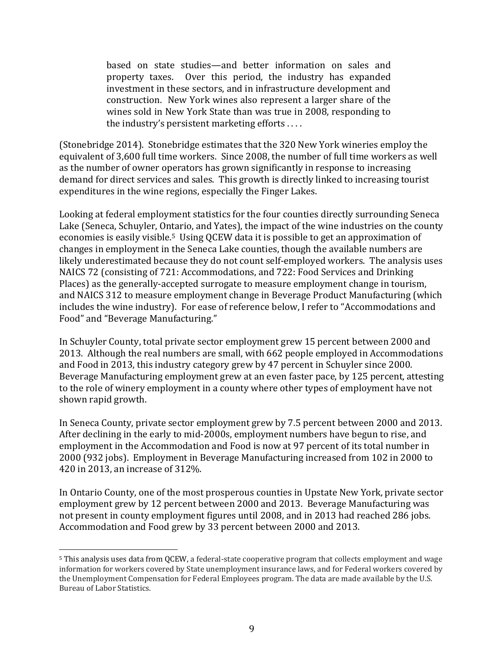based on state studies—and better information on sales and property taxes. Over this period, the industry has expanded investment in these sectors, and in infrastructure development and construction. New York wines also represent a larger share of the wines sold in New York State than was true in 2008, responding to the industry's persistent marketing efforts ....

(Stonebridge 2014). Stonebridge estimates that the 320 New York wineries employ the equivalent of 3,600 full time workers. Since 2008, the number of full time workers as well as the number of owner operators has grown significantly in response to increasing demand for direct services and sales. This growth is directly linked to increasing tourist expenditures in the wine regions, especially the Finger Lakes.

Looking at federal employment statistics for the four counties directly surrounding Seneca Lake (Seneca, Schuyler, Ontario, and Yates), the impact of the wine industries on the county economies is easily visible.<sup>5</sup> Using QCEW data it is possible to get an approximation of changes in employment in the Seneca Lake counties, though the available numbers are likely underestimated because they do not count self-employed workers. The analysis uses NAICS 72 (consisting of 721: Accommodations, and 722: Food Services and Drinking Places) as the generally-accepted surrogate to measure employment change in tourism, and NAICS 312 to measure employment change in Beverage Product Manufacturing (which includes the wine industry). For ease of reference below, I refer to "Accommodations and Food" and "Beverage Manufacturing."

In Schuyler County, total private sector employment grew 15 percent between 2000 and 2013. Although the real numbers are small, with 662 people employed in Accommodations and Food in 2013, this industry category grew by 47 percent in Schuyler since 2000. Beverage Manufacturing employment grew at an even faster pace, by 125 percent, attesting to the role of winery employment in a county where other types of employment have not shown rapid growth.

In Seneca County, private sector employment grew by 7.5 percent between 2000 and 2013. After declining in the early to mid-2000s, employment numbers have begun to rise, and employment in the Accommodation and Food is now at 97 percent of its total number in 2000 (932 jobs). Employment in Beverage Manufacturing increased from 102 in 2000 to 420 in 2013, an increase of 312%.

In Ontario County, one of the most prosperous counties in Upstate New York, private sector employment grew by 12 percent between 2000 and 2013. Beverage Manufacturing was not present in county employment figures until 2008, and in 2013 had reached 286 jobs. Accommodation and Food grew by 33 percent between 2000 and 2013.

!!!!!!!!!!!!!!!!!!!!!!!!!!!!!!!!!!!!!!!!!!!!!!!!!!!!!!!

<sup>&</sup>lt;sup>5</sup> This analysis uses data from QCEW, a federal-state cooperative program that collects employment and wage information for workers covered by State unemployment insurance laws, and for Federal workers covered by the Unemployment Compensation for Federal Employees program. The data are made available by the U.S. Bureau of Labor Statistics.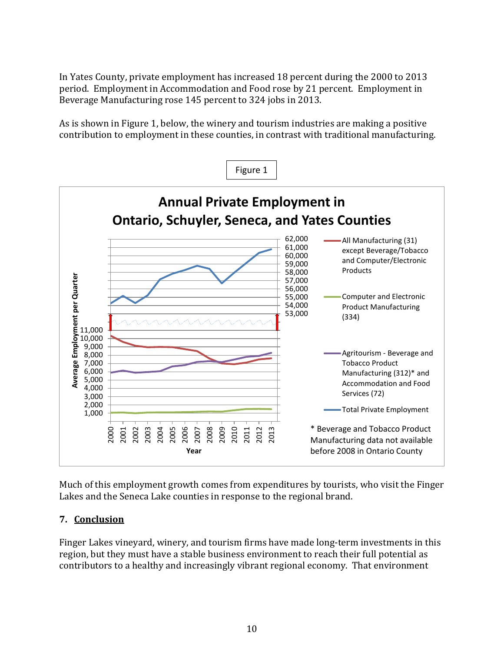In Yates County, private employment has increased 18 percent during the 2000 to 2013 period. Employment in Accommodation and Food rose by 21 percent. Employment in Beverage Manufacturing rose 145 percent to 324 jobs in 2013.

As is shown in Figure 1, below, the winery and tourism industries are making a positive contribution to employment in these counties, in contrast with traditional manufacturing.



Much of this employment growth comes from expenditures by tourists, who visit the Finger Lakes and the Seneca Lake counties in response to the regional brand.

## **7. Conclusion**

Finger Lakes vineyard, winery, and tourism firms have made long-term investments in this region, but they must have a stable business environment to reach their full potential as contributors to a healthy and increasingly vibrant regional economy. That environment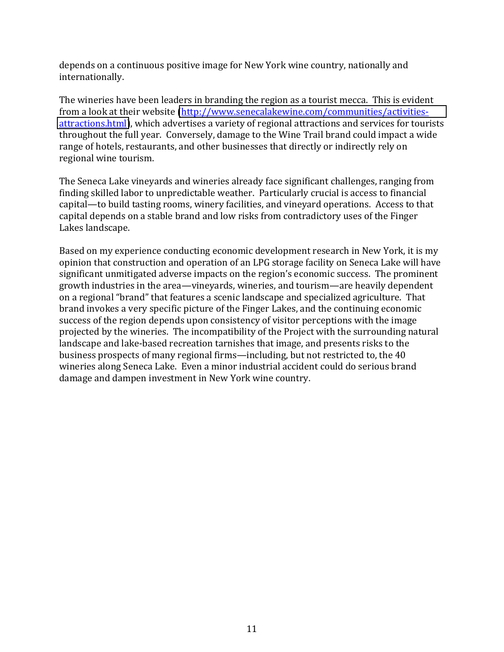depends on a continuous positive image for New York wine country, nationally and internationally.

The wineries have been leaders in branding the region as a tourist mecca. This is evident from a look at their website (http://www.senecalakewine.com/communities/activities[attractions.html\)](http://www.senecalakewine.com/communities/activities-attractions.html), which advertises a variety of regional attractions and services for tourists throughout the full year. Conversely, damage to the Wine Trail brand could impact a wide range of hotels, restaurants, and other businesses that directly or indirectly rely on regional wine tourism.

The Seneca Lake vineyards and wineries already face significant challenges, ranging from finding skilled labor to unpredictable weather. Particularly crucial is access to financial capital—to build tasting rooms, winery facilities, and vineyard operations. Access to that capital depends on a stable brand and low risks from contradictory uses of the Finger Lakes landscape.

Based on my experience conducting economic development research in New York, it is my opinion that construction and operation of an LPG storage facility on Seneca Lake will have significant unmitigated adverse impacts on the region's economic success. The prominent growth industries in the area—vineyards, wineries, and tourism—are heavily dependent on a regional "brand" that features a scenic landscape and specialized agriculture. That brand invokes a very specific picture of the Finger Lakes, and the continuing economic success of the region depends upon consistency of visitor perceptions with the image projected by the wineries. The incompatibility of the Project with the surrounding natural landscape and lake-based recreation tarnishes that image, and presents risks to the business prospects of many regional firms—including, but not restricted to, the 40 wineries along Seneca Lake. Even a minor industrial accident could do serious brand damage and dampen investment in New York wine country.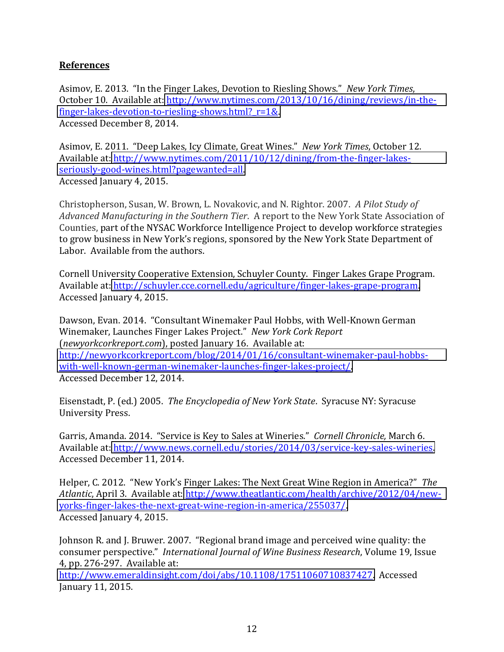## **References**

Asimov, E. 2013. "In the Finger Lakes, Devotion to Riesling Shows." New York Times, October 10. Available at: http://www.nytimes.com/2013/10/16/dining/reviews/in-thefinger-lakes-devotion-to-riesling-shows.html? $r=1&.$ Accessed December 8, 2014.

Asimov, E. 2011. "Deep Lakes, Icy Climate, Great Wines." New York Times, October 12. Available at: http://www.nytimes.com/2011/10/12/dining/from-the-finger-lakesseriously-good-wines.html?pagewanted=all. Accessed January 4, 2015.

Christopherson, Susan, W. Brown, L. Novakovic, and N. Rightor. 2007. *A Pilot Study of* Advanced Manufacturing in the Southern Tier. A report to the New York State Association of Counties, part of the NYSAC Workforce Intelligence Project to develop workforce strategies to grow business in New York's regions, sponsored by the New York State Department of Labor. Available from the authors.

Cornell University Cooperative Extension, Schuyler County. Finger Lakes Grape Program. Available at: http://schuyler.cce.cornell.edu/agriculture/finger-lakes-grape-program. Accessed January 4, 2015.

Dawson, Evan. 2014. "Consultant Winemaker Paul Hobbs, with Well-Known German Winemaker, Launches Finger Lakes Project." New York Cork Report (*newyorkcorkreport.com*), posted January 16. Available at: http://newyorkcorkreport.com/blog/2014/01/16/consultant-winemaker-paul-hobbswith-well-known-german-winemaker-launches-finger-lakes-project/. Accessed December 12, 2014.

Eisenstadt, P. (ed.) 2005. *The Encyclopedia of New York State.* Syracuse NY: Syracuse University Press.

Garris, Amanda. 2014. "Service is Key to Sales at Wineries." Cornell Chronicle, March 6. Available at: http://www.news.cornell.edu/stories/2014/03/service-key-sales-wineries. Accessed December 11, 2014.

Helper, C. 2012. "New York's Finger Lakes: The Next Great Wine Region in America?" The Atlantic, April 3. Available at: http://www.theatlantic.com/health/archive/2012/04/newyorks-finger-lakes-the-next-great-wine-region-in-america/255037/. Accessed January 4, 2015.

Johnson R, and J. Bruwer, 2007. "Regional brand image and perceived wine quality: the consumer perspective." International Journal of Wine Business Research, Volume 19, Issue 4, pp. 276-297. Available at:

[http://www.emeraldinsight.com/doi/abs/10.1108/17511060710837427.](http://www.emeraldinsight.com/doi/abs/10.1108/17511060710837427) Accessed January 11, 2015.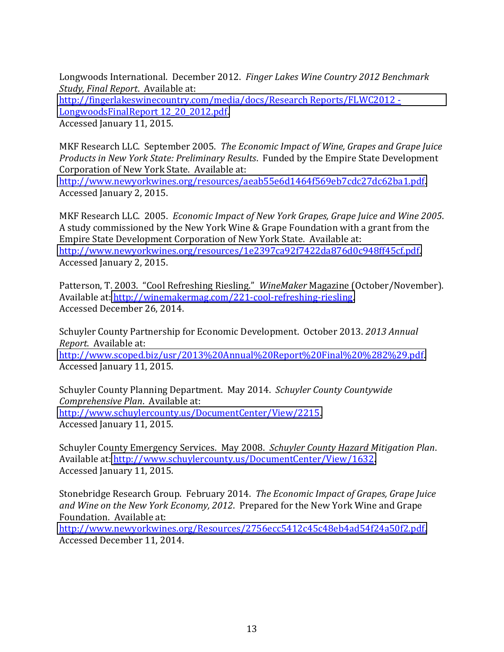Longwoods International. December 2012. *Finger Lakes Wine Country 2012 Benchmark Study, Final Report. Available at:* http://fingerlakeswinecountry.com/media/docs/Research Reports/FLWC2012 -LongwoodsFinalReport 12\_20\_2012.pdf. Accessed January 11, 2015.

MKF Research LLC. September 2005. The Economic Impact of Wine, Grapes and Grape Juice *Products in New York State: Preliminary Results. Funded by the Empire State Development* Corporation of New York State. Available at:

[http://www.newyorkwines.org/resources/aeab55e6d1464f569eb7cdc27dc62ba1.pdf.](http://www.newyorkwines.org/resources/aeab55e6d1464f569eb7cdc27dc62ba1.pdf) Accessed January 2, 2015.

MKF Research LLC. 2005. *Economic Impact of New York Grapes, Grape Juice and Wine 2005.* A study commissioned by the New York Wine & Grape Foundation with a grant from the Empire State Development Corporation of New York State. Available at: [http://www.newyorkwines.org/resources/1e2397ca92f7422da876d0c948ff45cf.pdf.](http://www.newyorkwines.org/resources/1e2397ca92f7422da876d0c948ff45cf.pdf) Accessed January 2, 2015.

Patterson, T. 2003. "Cool Refreshing Riesling." WineMaker Magazine (October/November). Available at: http://winemakermag.com/221-cool-refreshing-riesling. Accessed December 26, 2014.

Schuyler County Partnership for Economic Development. October 2013. *2013 Annual Report.* Available at: [http://www.scoped.biz/usr/2013%20Annual%20Report%20Final%20%282%29.pdf.](http://www.scoped.biz/usr/2013%20Annual%20Report%20Final%20%282%29.pdf) Accessed January 11, 2015.

Schuyler County Planning Department. May 2014. Schuyler County Countywide *Comprehensive Plan. Available at:* [http://www.schuylercounty.us/DocumentCenter/View/2215.](http://www.schuylercounty.us/DocumentCenter/View/2215) Accessed January 11, 2015.

Schuyler County Emergency Services. May 2008. Schuyler County Hazard Mitigation Plan. Available at: http://www.schuylercounty.us/DocumentCenter/View/1632. Accessed January 11, 2015.

Stonebridge Research Group. February 2014. *The Economic Impact of Grapes, Grape Juice* and Wine on the New York Economy, 2012. Prepared for the New York Wine and Grape Foundation. Available at:

[http://www.newyorkwines.org/Resources/2756ecc5412c45c48eb4ad54f24a50f2.pdf.](http://www.newyorkwines.org/Resources/2756ecc5412c45c48eb4ad54f24a50f2.pdf) Accessed December 11, 2014.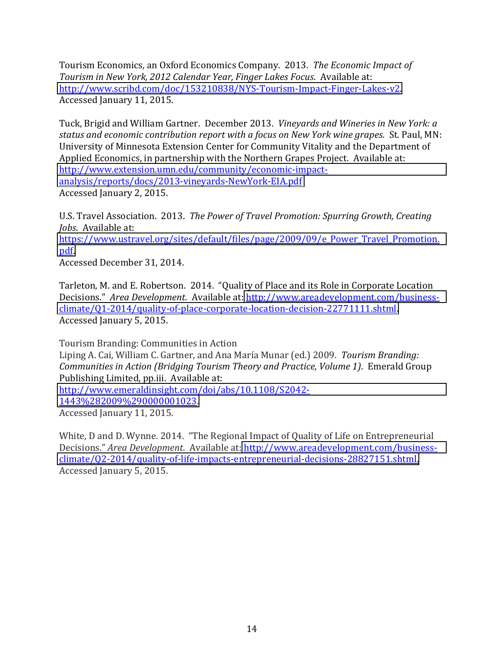Tourism Economics, an Oxford Economics Company. 2013. *The Economic Impact of Tourism in New York, 2012 Calendar Year, Finger Lakes Focus. Available at:* http://www.scribd.com/doc/153210838/NYS-Tourism-Impact-Finger-Lakes-v2. Accessed January 11, 2015.

Tuck, Brigid and William Gartner. December 2013. *Vineyards and Wineries in New York: a* status and economic contribution report with a focus on New York wine grapes. St. Paul, MN: University of Minnesota Extension Center for Community Vitality and the Department of Applied Economics, in partnership with the Northern Grapes Project. Available at: http://www.extension.umn.edu/community/economic-impactanalysis/reports/docs/2013-vineyards-NewYork-EIA.pdf Accessed January 2, 2015.

U.S. Travel Association. 2013. The Power of Travel Promotion: Spurring Growth, Creating *Jobs.* Available at:

[https://www.ustravel.org/sites/default/files/page/2009/09/e\\_Power\\_Travel\\_Promotion.](https://www.ustravel.org/sites/default/files/page/2009/09/e_Power_Travel_Promotion.pdf) [pdf.](https://www.ustravel.org/sites/default/files/page/2009/09/e_Power_Travel_Promotion.pdf)!

Accessed December 31, 2014.

Tarleton, M. and E. Robertson. 2014. "Quality of Place and its Role in Corporate Location Decisions." Area Development. Available at: http://www.areadevelopment.com/businessclimate/Q1-2014/quality-of-place-corporate-location-decision-22771111.shtml. Accessed January 5, 2015.

Tourism Branding: Communities in Action Liping A. Cai, William C. Gartner, and Ana María Munar (ed.) 2009. *Tourism Branding: Communities in Action (Bridging Tourism Theory and Practice, Volume 1). Emerald Group* Publishing Limited, pp.iii. Available at: http://www.emeraldinsight.com/doi/abs/10.1108/S2042-[1443%282009%290000001023.](http://www.emeraldinsight.com/doi/abs/10.1108/S2042-1443%282009%290000001023)! Accessed January 11, 2015.

White, D and D. Wynne. 2014. "The Regional Impact of Quality of Life on Entrepreneurial Decisions." Area Development. Available at: http://www.areadevelopment.com/businessclimate/Q2-2014/quality-of-life-impacts-entrepreneurial-decisions-28827151.shtml. Accessed January 5, 2015.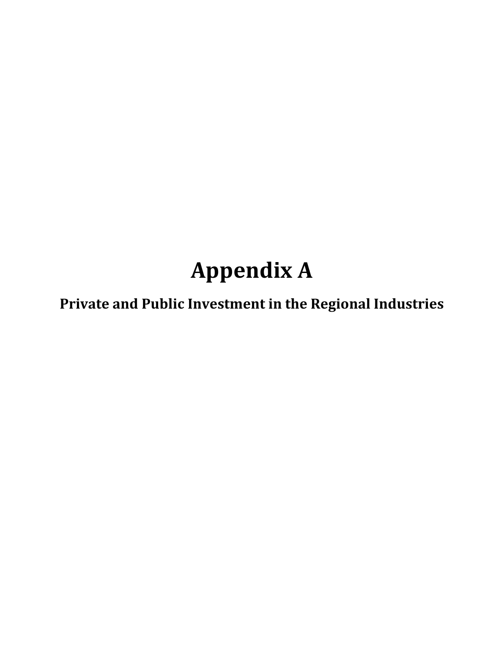# **Appendix A**

**Private and Public Investment in the Regional Industries**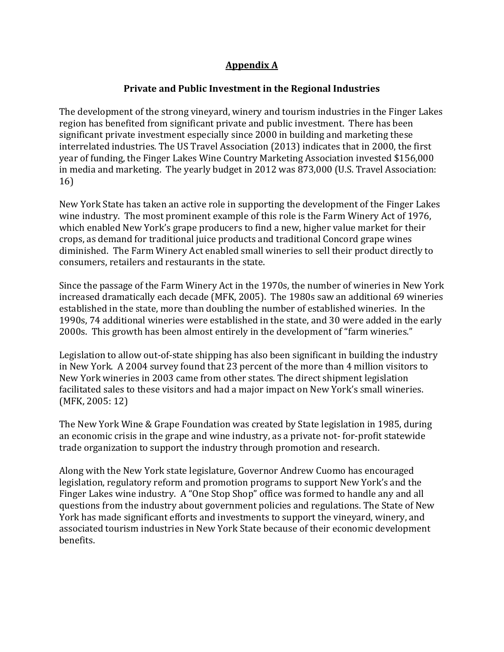## **Appendix A**

## **Private and Public Investment in the Regional Industries**

The development of the strong vineyard, winery and tourism industries in the Finger Lakes region has benefited from significant private and public investment. There has been significant private investment especially since 2000 in building and marketing these interrelated industries. The US Travel Association (2013) indicates that in 2000, the first vear of funding, the Finger Lakes Wine Country Marketing Association invested \$156,000 in media and marketing. The yearly budget in 2012 was 873,000 (U.S. Travel Association:  $16)$ 

New York State has taken an active role in supporting the development of the Finger Lakes wine industry. The most prominent example of this role is the Farm Winery Act of 1976, which enabled New York's grape producers to find a new, higher value market for their crops, as demand for traditional juice products and traditional Concord grape wines diminished. The Farm Winery Act enabled small wineries to sell their product directly to consumers, retailers and restaurants in the state.

Since the passage of the Farm Winery Act in the 1970s, the number of wineries in New York increased dramatically each decade (MFK, 2005). The 1980s saw an additional 69 wineries established in the state, more than doubling the number of established wineries. In the 1990s, 74 additional wineries were established in the state, and 30 were added in the early 2000s. This growth has been almost entirely in the development of "farm wineries."

Legislation to allow out-of-state shipping has also been significant in building the industry in New York. A 2004 survey found that 23 percent of the more than 4 million visitors to New York wineries in 2003 came from other states. The direct shipment legislation facilitated sales to these visitors and had a major impact on New York's small wineries.  $(MFK, 2005: 12)$ 

The New York Wine & Grape Foundation was created by State legislation in 1985, during an economic crisis in the grape and wine industry, as a private not-for-profit statewide trade organization to support the industry through promotion and research.

Along with the New York state legislature, Governor Andrew Cuomo has encouraged legislation, regulatory reform and promotion programs to support New York's and the Finger Lakes wine industry. A "One Stop Shop" office was formed to handle any and all questions from the industry about government policies and regulations. The State of New York has made significant efforts and investments to support the vineyard, winery, and associated tourism industries in New York State because of their economic development benefits.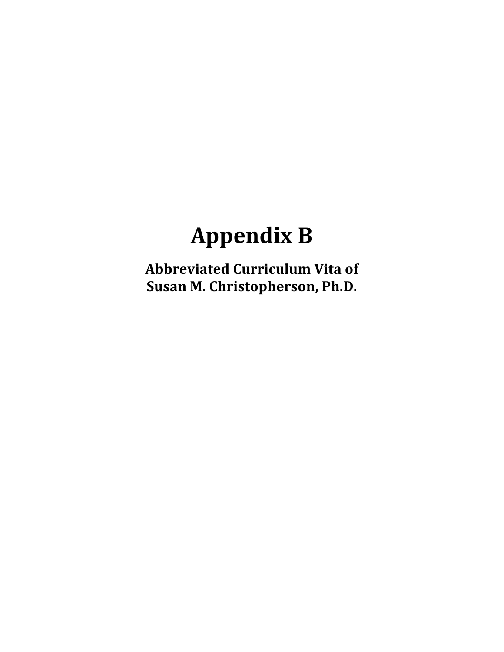## **Appendix B**

**Abbreviated Curriculum Vita of Susan M. Christopherson, Ph.D.**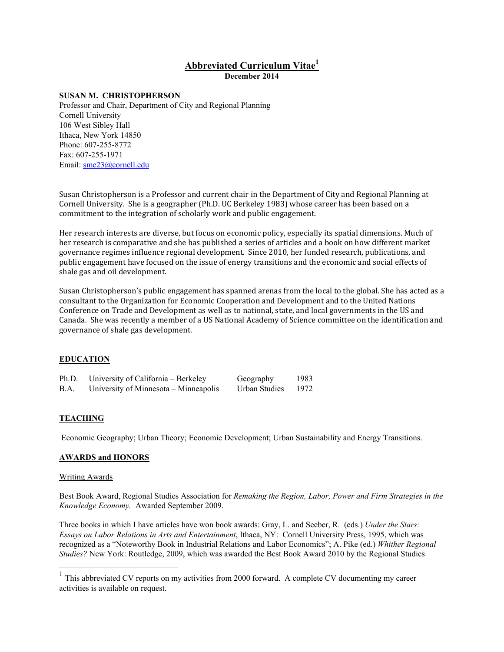## **Abbreviated Curriculum Vitae<sup>1</sup>**

**December 2014** 

#### **SUSAN M. CHRISTOPHERSON**

Professor and Chair, Department of City and Regional Planning Cornell University 106 West Sibley Hall Ithaca, New York 14850 Phone: 607-255-8772 Fax: 607-255-1971 Email: smc23@cornell.edu

Susan Christopherson is a Professor and current chair in the Department of City and Regional Planning at Cornell University. She is a geographer (Ph.D. UC Berkeley 1983) whose career has been based on a commitment to the integration of scholarly work and public engagement.

Her research interests are diverse, but focus on economic policy, especially its spatial dimensions. Much of her research is comparative and she has published a series of articles and a book on how different market governance regimes influence regional development. Since 2010, her funded research, publications, and public engagement have focused on the issue of energy transitions and the economic and social effects of shale gas and oil development.

Susan Christopherson's public engagement has spanned arenas from the local to the global. She has acted as a consultant to the Organization for Economic Cooperation and Development and to the United Nations Conference on Trade and Development as well as to national, state, and local governments in the US and Canada. She was recently a member of a US National Academy of Science committee on the identification and governance of shale gas development.

#### **EDUCATION**

| Ph.D. | University of California – Berkeley   | Geography     | 1983 |
|-------|---------------------------------------|---------------|------|
| B.A.  | University of Minnesota – Minneapolis | Urban Studies | 1972 |

#### **TEACHING**

Economic Geography; Urban Theory; Economic Development; Urban Sustainability and Energy Transitions.

#### **AWARDS and HONORS**

#### Writing Awards

 $\overline{\phantom{a}}$ 

Best Book Award, Regional Studies Association for *Remaking the Region, Labor, Power and Firm Strategies in the Knowledge Economy.* Awarded September 2009.

Three books in which I have articles have won book awards: Gray, L. and Seeber, R. (eds.) *Under the Stars: Essays on Labor Relations in Arts and Entertainment*, Ithaca, NY: Cornell University Press, 1995, which was recognized as a "Noteworthy Book in Industrial Relations and Labor Economics"; A. Pike (ed.) *Whither Regional Studies?* New York: Routledge, 2009, which was awarded the Best Book Award 2010 by the Regional Studies

 $<sup>1</sup>$  This abbreviated CV reports on my activities from 2000 forward. A complete CV documenting my career</sup> activities is available on request.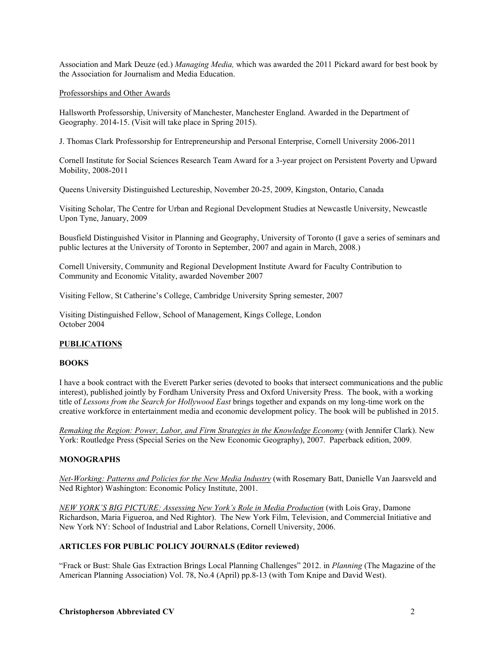Association and Mark Deuze (ed.) *Managing Media,* which was awarded the 2011 Pickard award for best book by the Association for Journalism and Media Education.

#### Professorships and Other Awards

Hallsworth Professorship, University of Manchester, Manchester England. Awarded in the Department of Geography. 2014-15. (Visit will take place in Spring 2015).

J. Thomas Clark Professorship for Entrepreneurship and Personal Enterprise, Cornell University 2006-2011

Cornell Institute for Social Sciences Research Team Award for a 3-year project on Persistent Poverty and Upward Mobility, 2008-2011

Queens University Distinguished Lectureship, November 20-25, 2009, Kingston, Ontario, Canada

Visiting Scholar, The Centre for Urban and Regional Development Studies at Newcastle University, Newcastle Upon Tyne, January, 2009

Bousfield Distinguished Visitor in Planning and Geography, University of Toronto (I gave a series of seminars and public lectures at the University of Toronto in September, 2007 and again in March, 2008.)

Cornell University, Community and Regional Development Institute Award for Faculty Contribution to Community and Economic Vitality, awarded November 2007

Visiting Fellow, St Catherine's College, Cambridge University Spring semester, 2007

Visiting Distinguished Fellow, School of Management, Kings College, London October 2004

#### **PUBLICATIONS**

#### **BOOKS**

I have a book contract with the Everett Parker series (devoted to books that intersect communications and the public interest), published jointly by Fordham University Press and Oxford University Press. The book, with a working title of *Lessons from the Search for Hollywood East* brings together and expands on my long-time work on the creative workforce in entertainment media and economic development policy. The book will be published in 2015.

*Remaking the Region: Power, Labor, and Firm Strategies in the Knowledge Economy* (with Jennifer Clark). New York: Routledge Press (Special Series on the New Economic Geography), 2007. Paperback edition, 2009.

#### **MONOGRAPHS**

*Net-Working: Patterns and Policies for the New Media Industry* (with Rosemary Batt, Danielle Van Jaarsveld and Ned Rightor) Washington: Economic Policy Institute, 2001.

*NEW YORK'S BIG PICTURE: Assessing New York's Role in Media Production* (with Lois Gray, Damone Richardson, Maria Figueroa, and Ned Rightor). The New York Film, Television, and Commercial Initiative and New York NY: School of Industrial and Labor Relations, Cornell University, 2006.

#### **ARTICLES FOR PUBLIC POLICY JOURNALS (Editor reviewed)**

"Frack or Bust: Shale Gas Extraction Brings Local Planning Challenges" 2012. in *Planning* (The Magazine of the American Planning Association) Vol. 78, No.4 (April) pp.8-13 (with Tom Knipe and David West).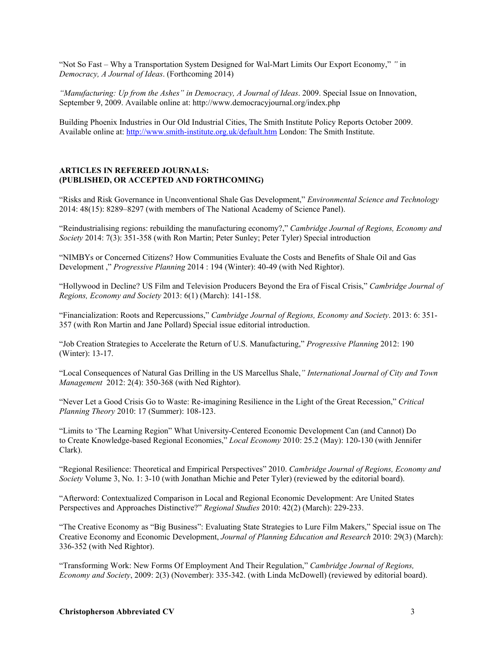"Not So Fast – Why a Transportation System Designed for Wal-Mart Limits Our Export Economy," *"* in *Democracy, A Journal of Ideas*. (Forthcoming 2014)

*"Manufacturing: Up from the Ashes" in Democracy, A Journal of Ideas*. 2009. Special Issue on Innovation, September 9, 2009. Available online at: http://www.democracyjournal.org/index.php

Building Phoenix Industries in Our Old Industrial Cities, The Smith Institute Policy Reports October 2009. Available online at: http://www.smith-institute.org.uk/default.htm London: The Smith Institute.

#### **ARTICLES IN REFEREED JOURNALS: (PUBLISHED, OR ACCEPTED AND FORTHCOMING)**

"Risks and Risk Governance in Unconventional Shale Gas Development," *Environmental Science and Technology* 2014: 48(15): 8289–8297 (with members of The National Academy of Science Panel).

"Reindustrialising regions: rebuilding the manufacturing economy?," *Cambridge Journal of Regions, Economy and Society* 2014: 7(3): 351-358 (with Ron Martin; Peter Sunley; Peter Tyler) Special introduction

"NIMBYs or Concerned Citizens? How Communities Evaluate the Costs and Benefits of Shale Oil and Gas Development ," *Progressive Planning* 2014 : 194 (Winter): 40-49 (with Ned Rightor).

"Hollywood in Decline? US Film and Television Producers Beyond the Era of Fiscal Crisis," *Cambridge Journal of Regions, Economy and Society* 2013: 6(1) (March): 141-158.

"Financialization: Roots and Repercussions," *Cambridge Journal of Regions, Economy and Society*. 2013: 6: 351- 357 (with Ron Martin and Jane Pollard) Special issue editorial introduction.

"Job Creation Strategies to Accelerate the Return of U.S. Manufacturing," *Progressive Planning* 2012: 190 (Winter): 13-17.

"Local Consequences of Natural Gas Drilling in the US Marcellus Shale,*" International Journal of City and Town Management* 2012: 2(4): 350-368 (with Ned Rightor).

"Never Let a Good Crisis Go to Waste: Re-imagining Resilience in the Light of the Great Recession," *Critical Planning Theory* 2010: 17 (Summer): 108-123.

"Limits to 'The Learning Region" What University-Centered Economic Development Can (and Cannot) Do to Create Knowledge-based Regional Economies," *Local Economy* 2010: 25.2 (May): 120-130 (with Jennifer Clark).

"Regional Resilience: Theoretical and Empirical Perspectives" 2010. *Cambridge Journal of Regions, Economy and Society* Volume 3, No. 1: 3-10 (with Jonathan Michie and Peter Tyler) (reviewed by the editorial board).

"Afterword: Contextualized Comparison in Local and Regional Economic Development: Are United States Perspectives and Approaches Distinctive?" *Regional Studies* 2010: 42(2) (March): 229-233.

"The Creative Economy as "Big Business": Evaluating State Strategies to Lure Film Makers," Special issue on The Creative Economy and Economic Development, *Journal of Planning Education and Research* 2010: 29(3) (March): 336-352 (with Ned Rightor).

"Transforming Work: New Forms Of Employment And Their Regulation," *Cambridge Journal of Regions, Economy and Society*, 2009: 2(3) (November): 335-342. (with Linda McDowell) (reviewed by editorial board).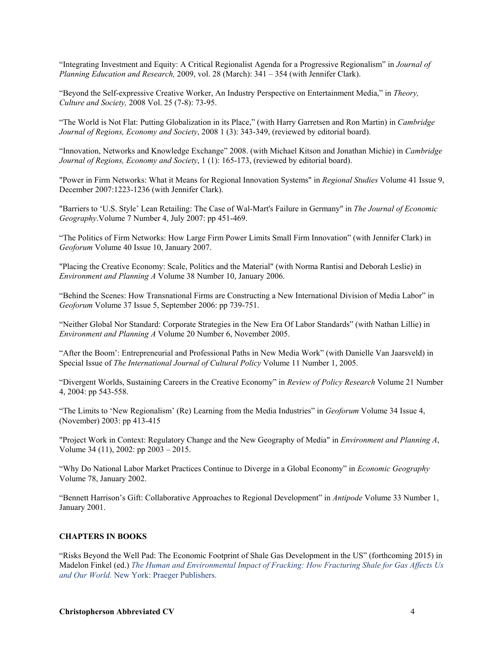"Integrating Investment and Equity: A Critical Regionalist Agenda for a Progressive Regionalism" in *Journal of Planning Education and Research,* 2009, vol. 28 (March): 341 – 354 (with Jennifer Clark).

"Beyond the Self-expressive Creative Worker, An Industry Perspective on Entertainment Media," in *Theory, Culture and Society,* 2008 Vol. 25 (7-8): 73-95.

"The World is Not Flat: Putting Globalization in its Place," (with Harry Garretsen and Ron Martin) in *Cambridge Journal of Regions, Economy and Society*, 2008 1 (3): 343-349, (reviewed by editorial board).

"Innovation, Networks and Knowledge Exchange" 2008. (with Michael Kitson and Jonathan Michie) in *Cambridge Journal of Regions, Economy and Society*, 1 (1): 165-173, (reviewed by editorial board).

"Power in Firm Networks: What it Means for Regional Innovation Systems" in *Regional Studies* Volume 41 Issue 9, December 2007:1223-1236 (with Jennifer Clark).

"Barriers to 'U.S. Style' Lean Retailing: The Case of Wal-Mart's Failure in Germany" in *The Journal of Economic Geography*.Volume 7 Number 4, July 2007: pp 451-469.

"The Politics of Firm Networks: How Large Firm Power Limits Small Firm Innovation" (with Jennifer Clark) in *Geoforum* Volume 40 Issue 10, January 2007.

"Placing the Creative Economy: Scale, Politics and the Material" (with Norma Rantisi and Deborah Leslie) in *Environment and Planning A* Volume 38 Number 10, January 2006.

"Behind the Scenes: How Transnational Firms are Constructing a New International Division of Media Labor" in *Geoforum* Volume 37 Issue 5, September 2006: pp 739-751.

"Neither Global Nor Standard: Corporate Strategies in the New Era Of Labor Standards" (with Nathan Lillie) in *Environment and Planning A* Volume 20 Number 6, November 2005.

"After the Boom': Entrepreneurial and Professional Paths in New Media Work" (with Danielle Van Jaarsveld) in Special Issue of *The International Journal of Cultural Policy* Volume 11 Number 1, 2005.

"Divergent Worlds, Sustaining Careers in the Creative Economy" in *Review of Policy Research* Volume 21 Number 4, 2004: pp 543-558.

"The Limits to 'New Regionalism' (Re) Learning from the Media Industries" in *Geoforum* Volume 34 Issue 4, (November) 2003: pp 413-415

"Project Work in Context: Regulatory Change and the New Geography of Media" in *Environment and Planning A*, Volume 34 (11), 2002: pp 2003 – 2015.

"Why Do National Labor Market Practices Continue to Diverge in a Global Economy" in *Economic Geography* Volume 78, January 2002.

"Bennett Harrison's Gift: Collaborative Approaches to Regional Development" in *Antipode* Volume 33 Number 1, January 2001.

#### **CHAPTERS IN BOOKS**

"Risks Beyond the Well Pad: The Economic Footprint of Shale Gas Development in the US" (forthcoming 2015) in Madelon Finkel (ed.) *The Human and Environmental Impact of Fracking: How Fracturing Shale for Gas Affects Us and Our World.* New York: Praeger Publishers.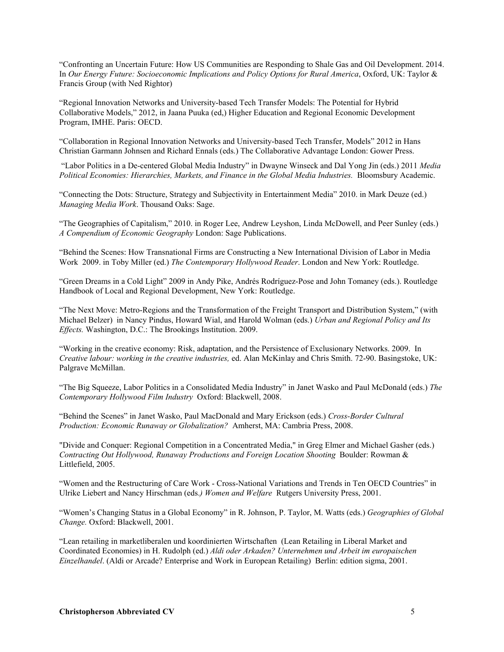"Confronting an Uncertain Future: How US Communities are Responding to Shale Gas and Oil Development. 2014. In *Our Energy Future: Socioeconomic Implications and Policy Options for Rural America*, Oxford, UK: Taylor & Francis Group (with Ned Rightor)

"Regional Innovation Networks and University-based Tech Transfer Models: The Potential for Hybrid Collaborative Models," 2012, in Jaana Puuka (ed,) Higher Education and Regional Economic Development Program, IMHE. Paris: OECD.

"Collaboration in Regional Innovation Networks and University-based Tech Transfer, Models" 2012 in Hans Christian Garmann Johnsen and Richard Ennals (eds.) The Collaborative Advantage London: Gower Press.

 "Labor Politics in a De-centered Global Media Industry" in Dwayne Winseck and Dal Yong Jin (eds.) 2011 *Media Political Economies: Hierarchies, Markets, and Finance in the Global Media Industries.* Bloomsbury Academic.

"Connecting the Dots: Structure, Strategy and Subjectivity in Entertainment Media" 2010. in Mark Deuze (ed.) *Managing Media Work*. Thousand Oaks: Sage.

"The Geographies of Capitalism," 2010. in Roger Lee, Andrew Leyshon, Linda McDowell, and Peer Sunley (eds.) *A Compendium of Economic Geography* London: Sage Publications.

"Behind the Scenes: How Transnational Firms are Constructing a New International Division of Labor in Media Work 2009. in Toby Miller (ed.) *The Contemporary Hollywood Reader*. London and New York: Routledge.

"Green Dreams in a Cold Light" 2009 in Andy Pike, Andrés Rodríguez-Pose and John Tomaney (eds.). Routledge Handbook of Local and Regional Development, New York: Routledge.

"The Next Move: Metro-Regions and the Transformation of the Freight Transport and Distribution System," (with Michael Belzer) in Nancy Pindus, Howard Wial, and Harold Wolman (eds.) *Urban and Regional Policy and Its Effects.* Washington, D.C.: The Brookings Institution. 2009.

"Working in the creative economy: Risk, adaptation, and the Persistence of Exclusionary Networks. 2009. In *Creative labour: working in the creative industries,* ed. Alan McKinlay and Chris Smith. 72-90. Basingstoke, UK: Palgrave McMillan.

"The Big Squeeze, Labor Politics in a Consolidated Media Industry" in Janet Wasko and Paul McDonald (eds.) *The Contemporary Hollywood Film Industry* Oxford: Blackwell, 2008.

"Behind the Scenes" in Janet Wasko, Paul MacDonald and Mary Erickson (eds.) *Cross-Border Cultural Production: Economic Runaway or Globalization?* Amherst, MA: Cambria Press, 2008.

"Divide and Conquer: Regional Competition in a Concentrated Media," in Greg Elmer and Michael Gasher (eds.) *Contracting Out Hollywood, Runaway Productions and Foreign Location Shooting* Boulder: Rowman & Littlefield, 2005.

"Women and the Restructuring of Care Work - Cross-National Variations and Trends in Ten OECD Countries" in Ulrike Liebert and Nancy Hirschman (eds.*) Women and Welfare* Rutgers University Press, 2001.

"Women's Changing Status in a Global Economy" in R. Johnson, P. Taylor, M. Watts (eds.) *Geographies of Global Change.* Oxford: Blackwell, 2001.

"Lean retailing in marketliberalen und koordinierten Wirtschaften (Lean Retailing in Liberal Market and Coordinated Economies) in H. Rudolph (ed.) *Aldi oder Arkaden? Unternehmen und Arbeit im europaischen Einzelhandel*. (Aldi or Arcade? Enterprise and Work in European Retailing) Berlin: edition sigma, 2001.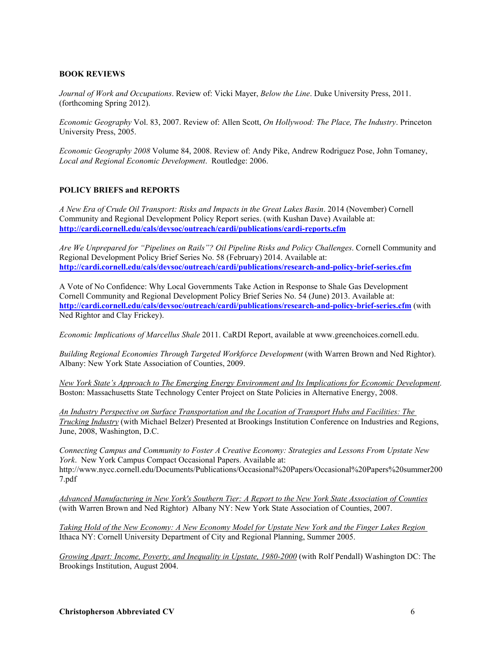#### **BOOK REVIEWS**

*Journal of Work and Occupations*. Review of: Vicki Mayer, *Below the Line*. Duke University Press, 2011. (forthcoming Spring 2012).

*Economic Geography* Vol. 83, 2007. Review of: Allen Scott, *On Hollywood: The Place, The Industry*. Princeton University Press, 2005.

*Economic Geography 2008* Volume 84, 2008. Review of: Andy Pike, Andrew Rodriguez Pose, John Tomaney, *Local and Regional Economic Development*. Routledge: 2006.

#### **POLICY BRIEFS and REPORTS**

*A New Era of Crude Oil Transport: Risks and Impacts in the Great Lakes Basin*. 2014 (November) Cornell Community and Regional Development Policy Report series. (with Kushan Dave) Available at: **http://cardi.cornell.edu/cals/devsoc/outreach/cardi/publications/cardi-reports.cfm** 

*Are We Unprepared for "Pipelines on Rails"? Oil Pipeline Risks and Policy Challenges*. Cornell Community and Regional Development Policy Brief Series No. 58 (February) 2014. Available at: **http://cardi.cornell.edu/cals/devsoc/outreach/cardi/publications/research-and-policy-brief-series.cfm**

A Vote of No Confidence: Why Local Governments Take Action in Response to Shale Gas Development Cornell Community and Regional Development Policy Brief Series No. 54 (June) 2013. Available at: **http://cardi.cornell.edu/cals/devsoc/outreach/cardi/publications/research-and-policy-brief-series.cfm** (with Ned Rightor and Clay Frickey).

*Economic Implications of Marcellus Shale* 2011. CaRDI Report, available at www.greenchoices.cornell.edu.

*Building Regional Economies Through Targeted Workforce Development* (with Warren Brown and Ned Rightor). Albany: New York State Association of Counties, 2009.

*New York State's Approach to The Emerging Energy Environment and Its Implications for Economic Development*. Boston: Massachusetts State Technology Center Project on State Policies in Alternative Energy, 2008.

*An Industry Perspective on Surface Transportation and the Location of Transport Hubs and Facilities: The Trucking Industry* (with Michael Belzer) Presented at Brookings Institution Conference on Industries and Regions, June, 2008, Washington, D.C.

*Connecting Campus and Community to Foster A Creative Economy: Strategies and Lessons From Upstate New York*. New York Campus Compact Occasional Papers. Available at: http://www.nycc.cornell.edu/Documents/Publications/Occasional%20Papers/Occasional%20Papers%20summer200 7.pdf

*Advanced Manufacturing in New York's Southern Tier: A Report to the New York State Association of Counties* (with Warren Brown and Ned Rightor) Albany NY: New York State Association of Counties, 2007.

*Taking Hold of the New Economy: A New Economy Model for Upstate New York and the Finger Lakes Region* Ithaca NY: Cornell University Department of City and Regional Planning, Summer 2005.

*Growing Apart: Income, Poverty, and Inequality in Upstate, 1980-2000* (with Rolf Pendall) Washington DC: The Brookings Institution, August 2004.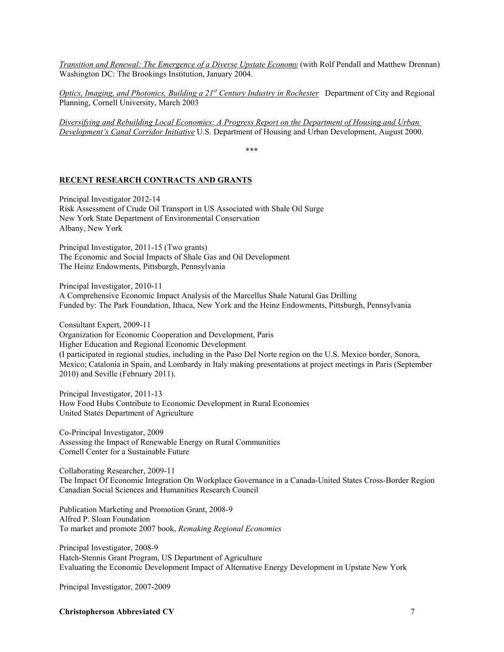*Transition and Renewal: The Emergence of a Diverse Upstate Economy* (with Rolf Pendall and Matthew Drennan) Washington DC: The Brookings Institution, January 2004.

*Optics, Imaging, and Photonics, Building a 21st Century Industry in Rochester* Department of City and Regional Planning, Cornell University, March 2003

*Diversifying and Rebuilding Local Economies: A Progress Report on the Department of Housing and Urban Development's Canal Corridor Initiative* U.S. Department of Housing and Urban Development, August 2000.

\*\*\*

#### **RECENT RESEARCH CONTRACTS AND GRANTS**

Principal Investigator 2012-14 Risk Assessment of Crude Oil Transport in US Associated with Shale Oil Surge New York State Department of Environmental Conservation Albany, New York

Principal Investigator, 2011-15 (Two grants) The Economic and Social Impacts of Shale Gas and Oil Development The Heinz Endowments, Pittsburgh, Pennsylvania

Principal Investigator, 2010-11 A Comprehensive Economic Impact Analysis of the Marcellus Shale Natural Gas Drilling Funded by: The Park Foundation, Ithaca, New York and the Heinz Endowments, Pittsburgh, Pennsylvania

Consultant Expert, 2009-11 Organization for Economic Cooperation and Development, Paris Higher Education and Regional Economic Development (I participated in regional studies, including in the Paso Del Norte region on the U.S. Mexico border, Sonora, Mexico; Catalonia in Spain, and Lombardy in Italy making presentations at project meetings in Paris (September 2010) and Seville (February 2011).

Principal Investigator, 2011-13 How Food Hubs Contribute to Economic Development in Rural Economies United States Department of Agriculture

Co-Principal Investigator, 2009 Assessing the Impact of Renewable Energy on Rural Communities Cornell Center for a Sustainable Future

Collaborating Researcher, 2009-11 The Impact Of Economic Integration On Workplace Governance in a Canada-United States Cross-Border Region Canadian Social Sciences and Humanities Research Council

Publication Marketing and Promotion Grant, 2008-9 Alfred P. Sloan Foundation To market and promote 2007 book, *Remaking Regional Economies*

Principal Investigator, 2008-9 Hatch-Stennis Grant Program, US Department of Agriculture Evaluating the Economic Development Impact of Alternative Energy Development in Upstate New York

Principal Investigator, 2007-2009

**Christopherson Abbreviated CV** 7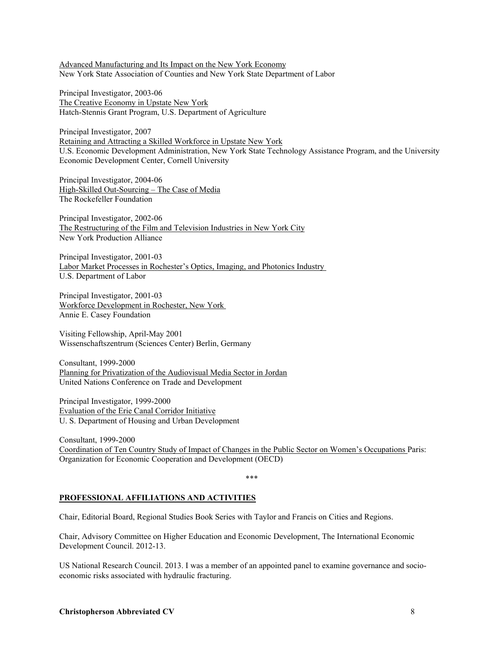Advanced Manufacturing and Its Impact on the New York Economy New York State Association of Counties and New York State Department of Labor

Principal Investigator, 2003-06 The Creative Economy in Upstate New York Hatch-Stennis Grant Program, U.S. Department of Agriculture

Principal Investigator, 2007 Retaining and Attracting a Skilled Workforce in Upstate New York U.S. Economic Development Administration, New York State Technology Assistance Program, and the University Economic Development Center, Cornell University

Principal Investigator, 2004-06 High-Skilled Out-Sourcing – The Case of Media The Rockefeller Foundation

Principal Investigator, 2002-06 The Restructuring of the Film and Television Industries in New York City New York Production Alliance

Principal Investigator, 2001-03 Labor Market Processes in Rochester's Optics, Imaging, and Photonics Industry U.S. Department of Labor

Principal Investigator, 2001-03 Workforce Development in Rochester, New York Annie E. Casey Foundation

Visiting Fellowship, April-May 2001 Wissenschaftszentrum (Sciences Center) Berlin, Germany

Consultant, 1999-2000 Planning for Privatization of the Audiovisual Media Sector in Jordan United Nations Conference on Trade and Development

Principal Investigator, 1999-2000 Evaluation of the Erie Canal Corridor Initiative U. S. Department of Housing and Urban Development

Consultant, 1999-2000 Coordination of Ten Country Study of Impact of Changes in the Public Sector on Women's Occupations Paris: Organization for Economic Cooperation and Development (OECD)

\*\*\*

#### **PROFESSIONAL AFFILIATIONS AND ACTIVITIES**

Chair, Editorial Board, Regional Studies Book Series with Taylor and Francis on Cities and Regions.

Chair, Advisory Committee on Higher Education and Economic Development, The International Economic Development Council. 2012-13.

US National Research Council. 2013. I was a member of an appointed panel to examine governance and socioeconomic risks associated with hydraulic fracturing.